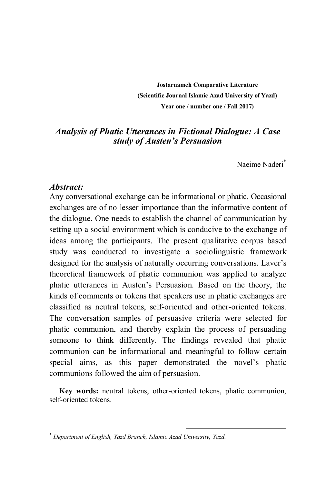**Jostarnameh Comparative Literature (Scientific Journal Islamic Azad University of Yazd) Year one / number one / Fall 2017)**

## *Analysis of Phatic Utterances in Fictional Dialogue: A Case study of Austen's Persuasion*

Naeime Naderi

#### *Abstract:*

Any conversational exchange can be informational or phatic. Occasional exchanges are of no lesser importance than the informative content of the dialogue. One needs to establish the channel of communication by setting up a social environment which is conducive to the exchange of ideas among the participants. The present qualitative corpus based study was conducted to investigate a sociolinguistic framework designed for the analysis of naturally occurring conversations. Laver's theoretical framework of phatic communion was applied to analyze phatic utterances in Austen's Persuasion. Based on the theory, the kinds of comments or tokens that speakers use in phatic exchanges are classified as neutral tokens, self-oriented and other-oriented tokens. The conversation samples of persuasive criteria were selected for phatic communion, and thereby explain the process of persuading someone to think differently. The findings revealed that phatic communion can be informational and meaningful to follow certain special aims, as this paper demonstrated the novel's phatic communions followed the aim of persuasion.

**Key words:** neutral tokens, other-oriented tokens, phatic communion, self-oriented tokens.

 $\overline{a}$ 

*Department of English, Yazd Branch, Islamic Azad University, Yazd.*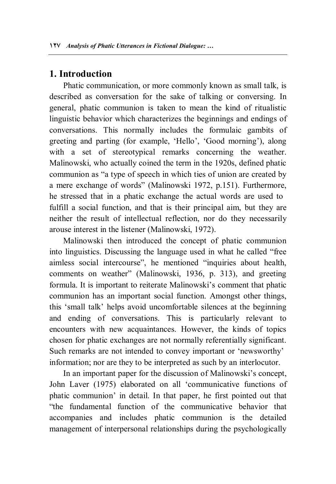## **1. Introduction**

Phatic communication, or more commonly known as small talk, is described as conversation for the sake of talking or conversing. In general, phatic communion is taken to mean the kind of ritualistic linguistic behavior which characterizes the beginnings and endings of conversations. This normally includes the formulaic gambits of greeting and parting (for example, 'Hello', 'Good morning'), along with a set of stereotypical remarks concerning the weather. Malinowski, who actually coined the term in the 1920s, defined phatic communion as "a type of speech in which ties of union are created by a mere exchange of words" (Malinowski 1972, p.151). Furthermore, he stressed that in a phatic exchange the actual words are used to fulfill a social function, and that is their principal aim, but they are neither the result of intellectual reflection, nor do they necessarily arouse interest in the listener (Malinowski, 1972).

Malinowski then introduced the concept of phatic communion into linguistics. Discussing the language used in what he called "free aimless social intercourse", he mentioned "inquiries about health, comments on weather" (Malinowski, 1936, p. 313), and greeting formula. It is important to reiterate Malinowski's comment that phatic communion has an important social function. Amongst other things, this 'small talk' helps avoid uncomfortable silences at the beginning and ending of conversations. This is particularly relevant to encounters with new acquaintances. However, the kinds of topics chosen for phatic exchanges are not normally referentially significant. Such remarks are not intended to convey important or 'newsworthy' information; nor are they to be interpreted as such by an interlocutor.

In an important paper for the discussion of Malinowski's concept, John Laver (1975) elaborated on all 'communicative functions of phatic communion' in detail. In that paper, he first pointed out that "the fundamental function of the communicative behavior that accompanies and includes phatic communion is the detailed management of interpersonal relationships during the psychologically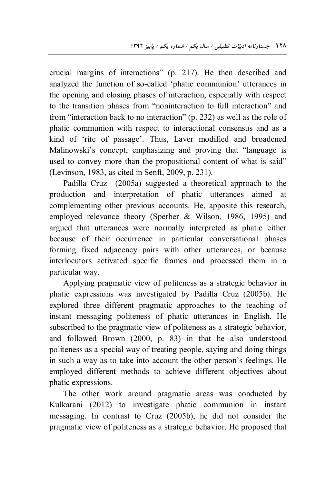crucial margins of interactions" (p. 217). He then described and analyzed the function of so-called 'phatic communion' utterances in the opening and closing phases of interaction, especially with respect to the transition phases from "noninteraction to full interaction" and from "interaction back to no interaction" (p. 232) as well as the role of phatic communion with respect to interactional consensus and as a kind of 'rite of passage'. Thus, Laver modified and broadened Malinowski's concept, emphasizing and proving that "language is used to convey more than the propositional content of what is said" (Levinson, 1983, as cited in Senft, 2009, p. 231).

Padilla Cruz (2005a) suggested a theoretical approach to the production and interpretation of phatic utterances aimed at complementing other previous accounts. He, apposite this research, employed relevance theory (Sperber & Wilson, 1986, 1995) and argued that utterances were normally interpreted as phatic either because of their occurrence in particular conversational phases forming fixed adjacency pairs with other utterances, or because interlocutors activated specific frames and processed them in a particular way.

Applying pragmatic view of politeness as a strategic behavior in phatic expressions was investigated by Padilla Cruz (2005b). He explored three different pragmatic approaches to the teaching of instant messaging politeness of phatic utterances in English. He subscribed to the pragmatic view of politeness as a strategic behavior, and followed Brown (2000, p. 83) in that he also understood politeness as a special way of treating people, saying and doing things in such a way as to take into account the other person's feelings. He employed different methods to achieve different objectives about phatic expressions.

The other work around pragmatic areas was conducted by Kulkarani (2012) to investigate phatic communion in instant messaging. In contrast to Cruz (2005b), he did not consider the pragmatic view of politeness as a strategic behavior. He proposed that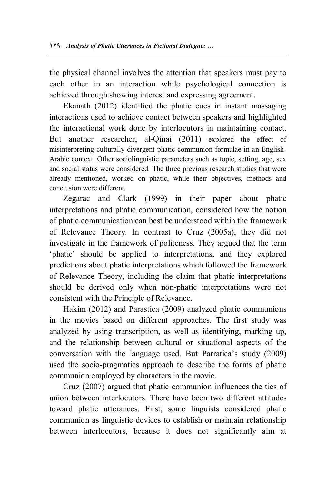the physical channel involves the attention that speakers must pay to each other in an interaction while psychological connection is achieved through showing interest and expressing agreement.

Ekanath (2012) identified the phatic cues in instant massaging interactions used to achieve contact between speakers and highlighted the interactional work done by interlocutors in maintaining contact. But another researcher, al-Oinai (2011) explored the effect of misinterpreting culturally divergent phatic communion formulae in an English-Arabic context. Other sociolinguistic parameters such as topic, setting, age, sex and social status were considered. The three previous research studies that were already mentioned, worked on phatic, while their objectives, methods and conclusion were different.

Zegarac and Clark (1999) in their paper about phatic interpretations and phatic communication, considered how the notion of phatic communication can best be understood within the framework of Relevance Theory. In contrast to Cruz (2005a), they did not investigate in the framework of politeness. They argued that the term 'phatic' should be applied to interpretations, and they explored predictions about phatic interpretations which followed the framework of Relevance Theory, including the claim that phatic interpretations should be derived only when non-phatic interpretations were not consistent with the Principle of Relevance.

Hakim (2012) and Parastica (2009) analyzed phatic communions in the movies based on different approaches. The first study was analyzed by using transcription, as well as identifying, marking up, and the relationship between cultural or situational aspects of the conversation with the language used. But Parratica's study (2009) used the socio-pragmatics approach to describe the forms of phatic communion employed by characters in the movie.

Cruz (2007) argued that phatic communion influences the ties of union between interlocutors. There have been two different attitudes toward phatic utterances. First, some linguists considered phatic communion as linguistic devices to establish or maintain relationship between interlocutors, because it does not significantly aim at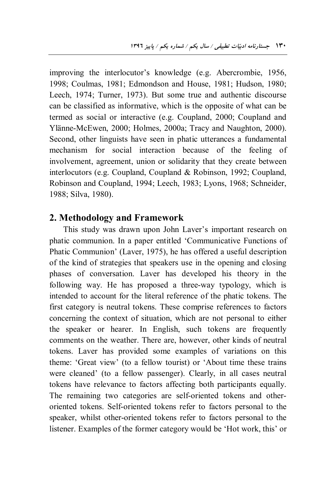improving the interlocutor's knowledge (e.g. Abercrombie, 1956, 1998; Coulmas, 1981; Edmondson and House, 1981; Hudson, 1980; Leech, 1974; Turner, 1973). But some true and authentic discourse can be classified as informative, which is the opposite of what can be termed as social or interactive (e.g. Coupland, 2000; Coupland and Ylänne-McEwen, 2000; Holmes, 2000a; Tracy and Naughton, 2000). Second, other linguists have seen in phatic utterances a fundamental mechanism for social interaction because of the feeling of involvement, agreement, union or solidarity that they create between interlocutors (e.g. Coupland, Coupland & Robinson, 1992; Coupland, Robinson and Coupland, 1994; Leech, 1983; Lyons, 1968; Schneider, 1988; Silva, 1980).

## **2. Methodology and Framework**

This study was drawn upon John Laver's important research on phatic communion. In a paper entitled 'Communicative Functions of Phatic Communion' (Laver, 1975), he has offered a useful description of the kind of strategies that speakers use in the opening and closing phases of conversation. Laver has developed his theory in the following way. He has proposed a three-way typology, which is intended to account for the literal reference of the phatic tokens. The first category is neutral tokens. These comprise references to factors concerning the context of situation, which are not personal to either the speaker or hearer. In English, such tokens are frequently comments on the weather. There are, however, other kinds of neutral tokens. Laver has provided some examples of variations on this theme: 'Great view' (to a fellow tourist) or 'About time these trains were cleaned' (to a fellow passenger). Clearly, in all cases neutral tokens have relevance to factors affecting both participants equally. The remaining two categories are self-oriented tokens and otheroriented tokens. Self-oriented tokens refer to factors personal to the speaker, whilst other-oriented tokens refer to factors personal to the listener. Examples of the former category would be 'Hot work, this' or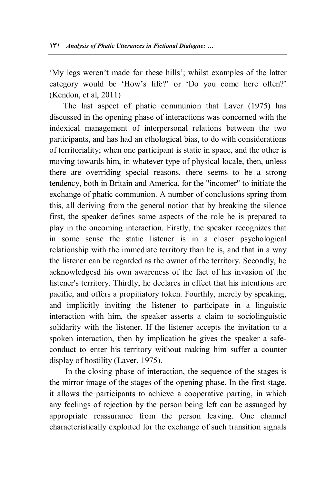'My legs weren't made for these hills'; whilst examples of the latter category would be 'How's life?' or 'Do you come here often?' (Kendon, et al, 2011)

The last aspect of phatic communion that Laver (1975) has discussed in the opening phase of interactions was concerned with the indexical management of interpersonal relations between the two participants, and has had an ethological bias, to do with considerations of territoriality; when one participant is static in space, and the other is moving towards him, in whatever type of physical locale, then, unless there are overriding special reasons, there seems to be a strong tendency, both in Britain and America, for the "incomer" to initiate the exchange of phatic communion. A number of conclusions spring from this, all deriving from the general notion that by breaking the silence first, the speaker defines some aspects of the role he is prepared to play in the oncoming interaction. Firstly, the speaker recognizes that in some sense the static listener is in a closer psychological relationship with the immediate territory than he is, and that in a way the listener can be regarded as the owner of the territory. Secondly, he acknowledgesd his own awareness of the fact of his invasion of the listener's territory. Thirdly, he declares in effect that his intentions are pacific, and offers a propitiatory token. Fourthly, merely by speaking, and implicitly inviting the listener to participate in a linguistic interaction with him, the speaker asserts a claim to sociolinguistic solidarity with the listener. If the listener accepts the invitation to a spoken interaction, then by implication he gives the speaker a safeconduct to enter his territory without making him suffer a counter display of hostility (Laver, 1975).

 In the closing phase of interaction, the sequence of the stages is the mirror image of the stages of the opening phase. In the first stage, it allows the participants to achieve a cooperative parting, in which any feelings of rejection by the person being left can be assuaged by appropriate reassurance from the person leaving. One channel characteristically exploited for the exchange of such transition signals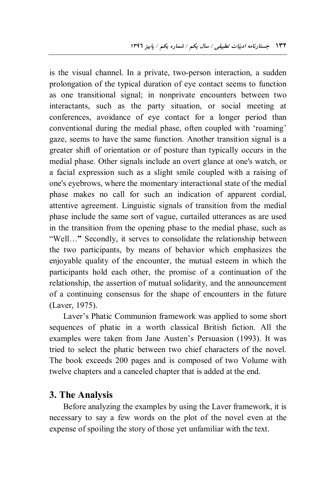is the visual channel. In a private, two-person interaction, a sudden prolongation of the typical duration of eye contact seems to function as one transitional signal; in nonprivate encounters between two interactants, such as the party situation, or social meeting at conferences, avoidance of eye contact for a longer period than conventional during the medial phase, often coupled with 'roaming' gaze, seems to have the same function. Another transition signal is a greater shift of orientation or of posture than typically occurs in the medial phase. Other signals include an overt glance at one's watch, or a facial expression such as a slight smile coupled with a raising of one's eyebrows, where the momentary interactional state of the medial phase makes no call for such an indication of apparent cordial, attentive agreement. Linguistic signals of transition from the medial phase include the same sort of vague, curtailed utterances as are used in the transition from the opening phase to the medial phase, such as "Well…**"** Secondly, it serves to consolidate the relationship between the two participants, by means of behavior which emphasizes the enjoyable quality of the encounter, the mutual esteem in which the participants hold each other, the promise of a continuation of the relationship, the assertion of mutual solidarity, and the announcement of a continuing consensus for the shape of encounters in the future (Laver, 1975).

Laver's Phatic Communion framework was applied to some short sequences of phatic in a worth classical British fiction. All the examples were taken from Jane Austen's Persuasion (1993). It was tried to select the phatic between two chief characters of the novel. The book exceeds 200 pages and is composed of two Volume with twelve chapters and a canceled chapter that is added at the end.

# **3. The Analysis**

Before analyzing the examples by using the Laver framework, it is necessary to say a few words on the plot of the novel even at the expense of spoiling the story of those yet unfamiliar with the text.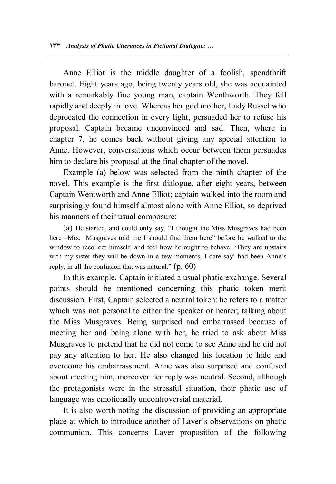Anne Elliot is the middle daughter of a foolish, spendthrift baronet. Eight years ago, being twenty years old, she was acquainted with a remarkably fine young man, captain Wenthworth. They fell rapidly and deeply in love. Whereas her god mother, Lady Russel who deprecated the connection in every light, persuaded her to refuse his proposal. Captain became unconvinced and sad. Then, where in chapter 7, he comes back without giving any special attention to Anne. However, conversations which occur between them persuades him to declare his proposal at the final chapter of the novel.

Example (a) below was selected from the ninth chapter of the novel. This example is the first dialogue, after eight years, between Captain Wentworth and Anne Elliot; captain walked into the room and surprisingly found himself almost alone with Anne Elliot, so deprived his manners of their usual composure:

(a) He started, and could only say, "I thought the Miss Musgraves had been here –Mrs. Musgraves told me I should find them here" before he walked to the window to recollect himself, and feel how he ought to behave. 'They are upstairs with my sister-they will be down in a few moments, I dare say' had been Anne's reply, in all the confusion that was natural." (p. 60)

In this example, Captain initiated a usual phatic exchange. Several points should be mentioned concerning this phatic token merit discussion. First, Captain selected a neutral token: he refers to a matter which was not personal to either the speaker or hearer; talking about the Miss Musgraves. Being surprised and embarrassed because of meeting her and being alone with her, he tried to ask about Miss Musgraves to pretend that he did not come to see Anne and he did not pay any attention to her. He also changed his location to hide and overcome his embarrassment. Anne was also surprised and confused about meeting him, moreover her reply was neutral. Second, although the protagonists were in the stressful situation, their phatic use of language was emotionally uncontroversial material.

It is also worth noting the discussion of providing an appropriate place at which to introduce another of Laver's observations on phatic communion. This concerns Laver proposition of the following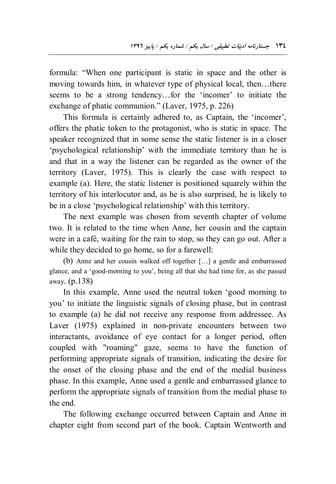formula: "When one participant is static in space and the other is moving towards him, in whatever type of physical local, then…there seems to be a strong tendency…for the 'incomer' to initiate the exchange of phatic communion." (Laver, 1975, p. 226)

This formula is certainly adhered to, as Captain, the 'incomer', offers the phatic token to the protagonist, who is static in space. The speaker recognized that in some sense the static listener is in a closer 'psychological relationship' with the immediate territory than he is and that in a way the listener can be regarded as the owner of the territory (Laver, 1975). This is clearly the case with respect to example (a). Here, the static listener is positioned squarely within the territory of his interlocutor and, as he is also surprised, he is likely to be in a close 'psychological relationship' with this territory.

The next example was chosen from seventh chapter of volume two. It is related to the time when Anne, her cousin and the captain were in a café, waiting for the rain to stop, so they can go out. After a while they decided to go home, so for a farewell:

(b) Anne and her cousin walked off together […] a gentle and embarrassed glance, and a 'good-morning to you', being all that she had time for, as she passed away. (p.138)

In this example, Anne used the neutral token 'good morning to you' to initiate the linguistic signals of closing phase, but in contrast to example (a) he did not receive any response from addressee. As Laver (1975) explained in non-private encounters between two interactants, avoidance of eye contact for a longer period, often coupled with "roaming" gaze, seems to have the function of performing appropriate signals of transition, indicating the desire for the onset of the closing phase and the end of the medial business phase. In this example, Anne used a gentle and embarrassed glance to perform the appropriate signals of transition from the medial phase to the end.

The following exchange occurred between Captain and Anne in chapter eight from second part of the book. Captain Wentworth and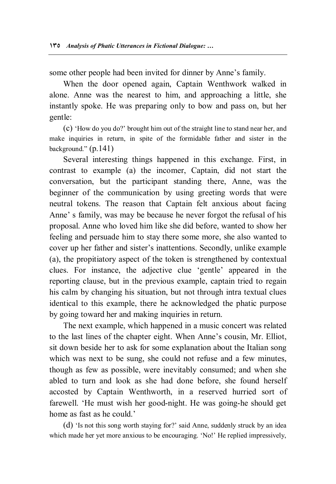some other people had been invited for dinner by Anne's family.

When the door opened again, Captain Wenthwork walked in alone. Anne was the nearest to him, and approaching a little, she instantly spoke. He was preparing only to bow and pass on, but her gentle:

(c) 'How do you do?' brought him out of the straight line to stand near her, and make inquiries in return, in spite of the formidable father and sister in the background."  $(p.141)$ 

Several interesting things happened in this exchange. First, in contrast to example (a) the incomer, Captain, did not start the conversation, but the participant standing there, Anne, was the beginner of the communication by using greeting words that were neutral tokens. The reason that Captain felt anxious about facing Anne' s family, was may be because he never forgot the refusal of his proposal. Anne who loved him like she did before, wanted to show her feeling and persuade him to stay there some more, she also wanted to cover up her father and sister's inattentions. Secondly, unlike example (a), the propitiatory aspect of the token is strengthened by contextual clues. For instance, the adjective clue 'gentle' appeared in the reporting clause, but in the previous example, captain tried to regain his calm by changing his situation, but not through intra textual clues identical to this example, there he acknowledged the phatic purpose by going toward her and making inquiries in return.

The next example, which happened in a music concert was related to the last lines of the chapter eight. When Anne's cousin, Mr. Elliot, sit down beside her to ask for some explanation about the Italian song which was next to be sung, she could not refuse and a few minutes, though as few as possible, were inevitably consumed; and when she abled to turn and look as she had done before, she found herself accosted by Captain Wenthworth, in a reserved hurried sort of farewell. 'He must wish her good-night. He was going-he should get home as fast as he could.'

(d) 'Is not this song worth staying for?' said Anne, suddenly struck by an idea which made her yet more anxious to be encouraging. 'No!' He replied impressively,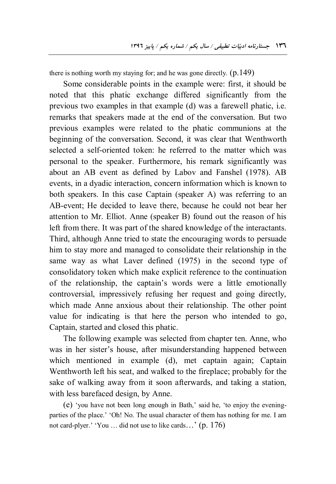there is nothing worth my staying for; and he was gone directly.  $(p.149)$ 

Some considerable points in the example were: first, it should be noted that this phatic exchange differed significantly from the previous two examples in that example (d) was a farewell phatic, i.e. remarks that speakers made at the end of the conversation. But two previous examples were related to the phatic communions at the beginning of the conversation. Second, it was clear that Wenthworth selected a self-oriented token: he referred to the matter which was personal to the speaker. Furthermore, his remark significantly was about an AB event as defined by Labov and Fanshel (1978). AB events, in a dyadic interaction, concern information which is known to both speakers. In this case Captain (speaker A) was referring to an AB-event; He decided to leave there, because he could not bear her attention to Mr. Elliot. Anne (speaker B) found out the reason of his left from there. It was part of the shared knowledge of the interactants. Third, although Anne tried to state the encouraging words to persuade him to stay more and managed to consolidate their relationship in the same way as what Laver defined (1975) in the second type of consolidatory token which make explicit reference to the continuation of the relationship, the captain's words were a little emotionally controversial, impressively refusing her request and going directly, which made Anne anxious about their relationship. The other point value for indicating is that here the person who intended to go, Captain, started and closed this phatic.

The following example was selected from chapter ten. Anne, who was in her sister's house, after misunderstanding happened between which mentioned in example (d), met captain again; Captain Wenthworth left his seat, and walked to the fireplace; probably for the sake of walking away from it soon afterwards, and taking a station, with less barefaced design, by Anne.

(e) 'you have not been long enough in Bath,' said he, 'to enjoy the eveningparties of the place.' 'Oh! No. The usual character of them has nothing for me. I am not card-plyer.' 'You … did not use to like cards…' (p. 176)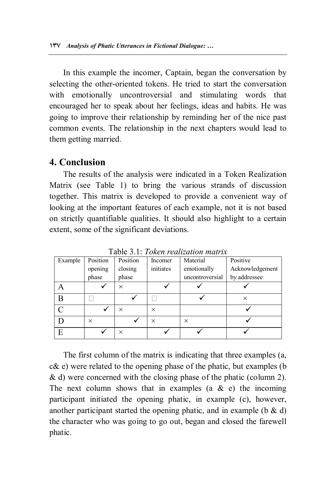In this example the incomer, Captain, began the conversation by selecting the other-oriented tokens. He tried to start the conversation with emotionally uncontroversial and stimulating words that encouraged her to speak about her feelings, ideas and habits. He was going to improve their relationship by reminding her of the nice past common events. The relationship in the next chapters would lead to them getting married.

## **4. Conclusion**

The results of the analysis were indicated in a Token Realization Matrix (see Table 1) to bring the various strands of discussion together. This matrix is developed to provide a convenient way of looking at the important features of each example, not it is not based on strictly quantifiable qualities. It should also highlight to a certain extent, some of the significant deviations.

| Example       | Position | Position | Incomer   | Table 5.1. Token realization main $\alpha$<br>Material | Positive        |
|---------------|----------|----------|-----------|--------------------------------------------------------|-----------------|
|               | opening  | closing  | initiates | emotionally                                            | Acknowledgement |
|               | phase    | phase    |           | uncontroversial                                        | by addressee    |
| Α             |          | $\times$ |           |                                                        |                 |
| B             |          |          |           |                                                        | $\times$        |
| $\mathcal{C}$ |          | $\times$ | $\times$  |                                                        |                 |
| D             | $\times$ |          | $\times$  | $\times$                                               |                 |
| E             |          | $\times$ |           |                                                        |                 |

Table 3.1: *Token realization matrix*

The first column of the matrix is indicating that three examples (a, c& e) were related to the opening phase of the phatic, but examples (b & d) were concerned with the closing phase of the phatic (column 2). The next column shows that in examples  $(a \& c)$  the incoming participant initiated the opening phatic, in example (c), however, another participant started the opening phatic, and in example (b  $\&$  d) the character who was going to go out, began and closed the farewell phatic.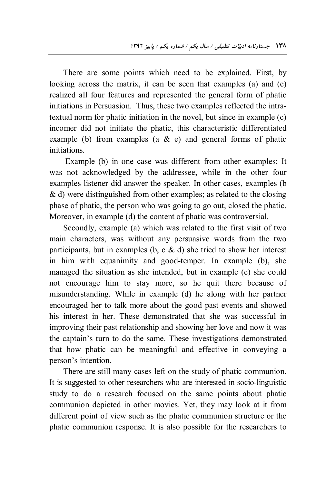There are some points which need to be explained. First, by looking across the matrix, it can be seen that examples (a) and (e) realized all four features and represented the general form of phatic initiations in Persuasion. Thus, these two examples reflected the intratextual norm for phatic initiation in the novel, but since in example (c) incomer did not initiate the phatic, this characteristic differentiated example (b) from examples (a  $\&$  e) and general forms of phatic initiations.

 Example (b) in one case was different from other examples; It was not acknowledged by the addressee, while in the other four examples listener did answer the speaker. In other cases, examples (b & d) were distinguished from other examples; as related to the closing phase of phatic, the person who was going to go out, closed the phatic. Moreover, in example (d) the content of phatic was controversial.

Secondly, example (a) which was related to the first visit of two main characters, was without any persuasive words from the two participants, but in examples (b, c  $\&$  d) she tried to show her interest in him with equanimity and good-temper. In example (b), she managed the situation as she intended, but in example (c) she could not encourage him to stay more, so he quit there because of misunderstanding. While in example (d) he along with her partner encouraged her to talk more about the good past events and showed his interest in her. These demonstrated that she was successful in improving their past relationship and showing her love and now it was the captain's turn to do the same. These investigations demonstrated that how phatic can be meaningful and effective in conveying a person's intention.

There are still many cases left on the study of phatic communion. It is suggested to other researchers who are interested in socio-linguistic study to do a research focused on the same points about phatic communion depicted in other movies. Yet, they may look at it from different point of view such as the phatic communion structure or the phatic communion response. It is also possible for the researchers to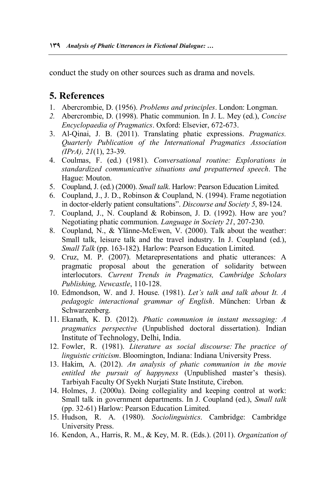conduct the study on other sources such as drama and novels.

# **5. References**

- 1. Abercrombie, D. (1956). *Problems and principles*. London: Longman.
- *2.* Abercrombie, D. (1998). Phatic communion. In J. L. Mey (ed.), *Concise Encyclopaedia of Pragmatics*. Oxford: Elsevier, 672-673.
- 3. Al-Qinai, J. B. (2011). Translating phatic expressions. *Pragmatics. Quarterly Publication of the International Pragmatics Association (IPrA), 21*(1), 23-39.
- 4. Coulmas, F. (ed.) (1981). *Conversational routine: Explorations in standardized communicative situations and prepatterned speech*. The Hague: Mouton.
- 5. Coupland, J. (ed.) (2000). *Small talk*. Harlow: Pearson Education Limited.
- 6. Coupland, J., J. D., Robinson & Coupland, N. (1994). Frame negotiation in doctor-elderly patient consultations". *Discourse and Society 5*, 89-124.
- 7. Coupland, J., N. Coupland & Robinson, J. D. (1992). How are you? Negotiating phatic communion. *Language in Society 21*, 207-230.
- 8. Coupland, N., & Ylänne-McEwen, V. (2000). Talk about the weather: Small talk, leisure talk and the travel industry. In J. Coupland (ed.), *Small Talk* (pp. 163-182). Harlow: Pearson Education Limited.
- 9. Cruz, M. P. (2007). Metarepresentations and phatic utterances: A pragmatic proposal about the generation of solidarity between interlocutors. *Current Trends in Pragmatics, Cambridge Scholars Publishing, Newcastle*, 110-128.
- 10. Edmondson, W. and J. House. (1981). *Let's talk and talk about It. A pedagogic interactional grammar of English*. München: Urban & Schwarzenberg.
- 11. Ekanath, K. D. (2012). *Phatic communion in instant messaging: A pragmatics perspective* (Unpublished doctoral dissertation). Indian Institute of Technology, Delhi, India.
- 12. Fowler, R. (1981). *Literature as social discourse: The practice of linguistic criticism*. Bloomington, Indiana: Indiana University Press.
- 13. Hakim, A. (2012). *An analysis of phatic communion in the movie entitled the pursuit of happyness* (Unpublished master's thesis). Tarbiyah Faculty Of Syekh Nurjati State Institute, Cirebon.
- 14. Holmes, J. (2000a). Doing collegiality and keeping control at work: Small talk in government departments. In J. Coupland (ed.), *Small talk*  (pp. 32-61) Harlow: Pearson Education Limited.
- 15. Hudson, R. A. (1980). *Sociolinguistics*. Cambridge: Cambridge University Press.
- 16. Kendon, A., Harris, R. M., & Key, M. R. (Eds.). (2011). *Organization of*